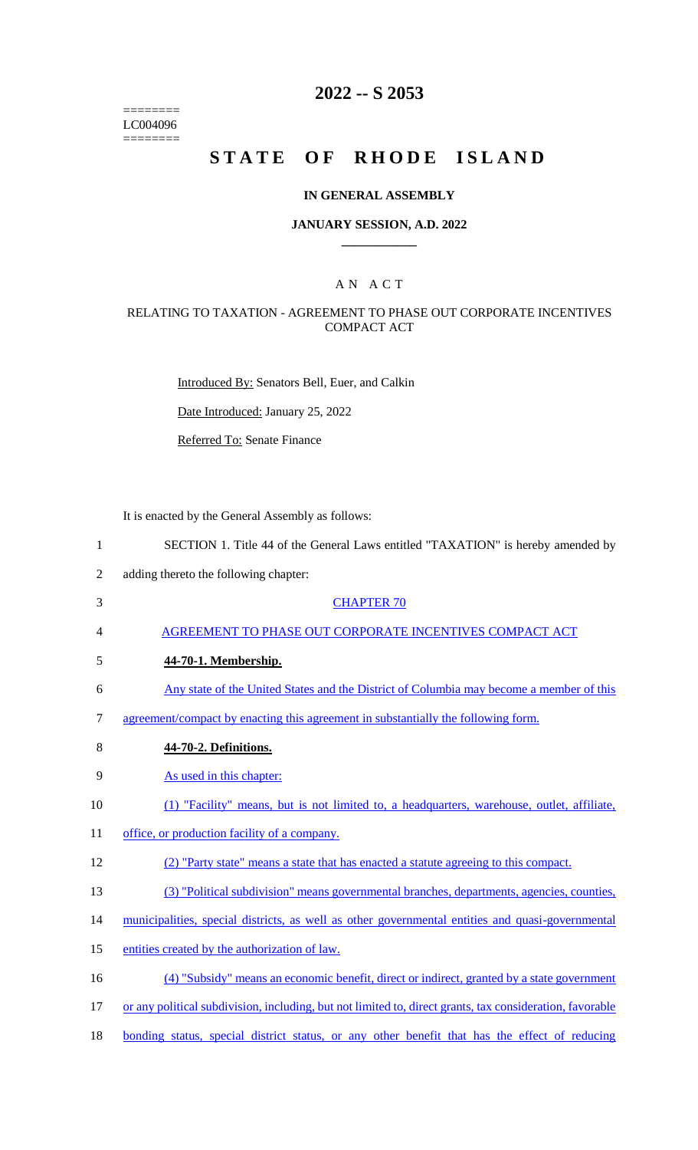======== LC004096 ========

# **2022 -- S 2053**

# **STATE OF RHODE ISLAND**

### **IN GENERAL ASSEMBLY**

### **JANUARY SESSION, A.D. 2022 \_\_\_\_\_\_\_\_\_\_\_\_**

# A N A C T

### RELATING TO TAXATION - AGREEMENT TO PHASE OUT CORPORATE INCENTIVES COMPACT ACT

Introduced By: Senators Bell, Euer, and Calkin

Date Introduced: January 25, 2022

Referred To: Senate Finance

It is enacted by the General Assembly as follows:

- 2 adding thereto the following chapter:
- 3 CHAPTER 70
- 4 AGREEMENT TO PHASE OUT CORPORATE INCENTIVES COMPACT ACT
- 5 **44-70-1. Membership.**
- 6 Any state of the United States and the District of Columbia may become a member of this
- 7 agreement/compact by enacting this agreement in substantially the following form.
- 8 **44-70-2. Definitions.**
- 9 As used in this chapter:
- 10 (1) "Facility" means, but is not limited to, a headquarters, warehouse, outlet, affiliate,
- 11 office, or production facility of a company.

### 12 (2) "Party state" means a state that has enacted a statute agreeing to this compact.

- 13 (3) "Political subdivision" means governmental branches, departments, agencies, counties,
- 14 municipalities, special districts, as well as other governmental entities and quasi-governmental
- 15 entities created by the authorization of law.
- 16 (4) "Subsidy" means an economic benefit, direct or indirect, granted by a state government
- 17 or any political subdivision, including, but not limited to, direct grants, tax consideration, favorable
- 18 bonding status, special district status, or any other benefit that has the effect of reducing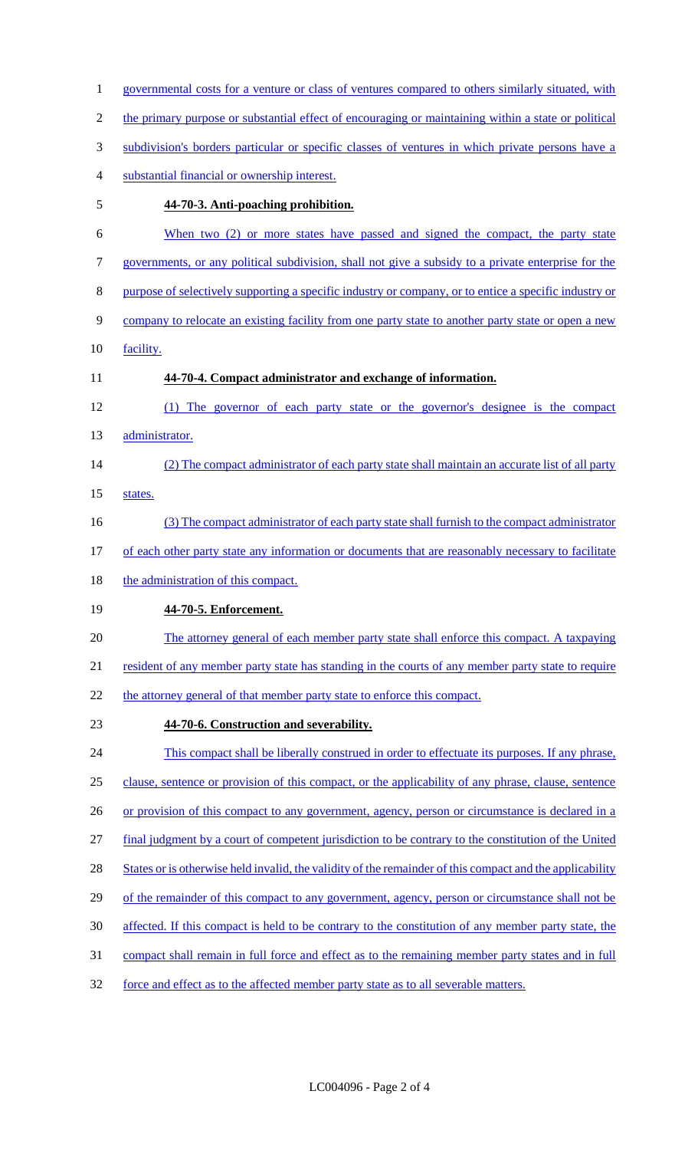governmental costs for a venture or class of ventures compared to others similarly situated, with the primary purpose or substantial effect of encouraging or maintaining within a state or political subdivision's borders particular or specific classes of ventures in which private persons have a substantial financial or ownership interest. **44-70-3. Anti-poaching prohibition.**  6 When two (2) or more states have passed and signed the compact, the party state governments, or any political subdivision, shall not give a subsidy to a private enterprise for the purpose of selectively supporting a specific industry or company, or to entice a specific industry or 9 company to relocate an existing facility from one party state to another party state or open a new facility. **44-70-4. Compact administrator and exchange of information.**  (1) The governor of each party state or the governor's designee is the compact 13 administrator. 14 (2) The compact administrator of each party state shall maintain an accurate list of all party 15 states. (3) The compact administrator of each party state shall furnish to the compact administrator 17 of each other party state any information or documents that are reasonably necessary to facilitate 18 the administration of this compact. **44-70-5. Enforcement.**  The attorney general of each member party state shall enforce this compact. A taxpaying 21 resident of any member party state has standing in the courts of any member party state to require 22 the attorney general of that member party state to enforce this compact. **44-70-6. Construction and severability.**  This compact shall be liberally construed in order to effectuate its purposes. If any phrase, clause, sentence or provision of this compact, or the applicability of any phrase, clause, sentence 26 or provision of this compact to any government, agency, person or circumstance is declared in a final judgment by a court of competent jurisdiction to be contrary to the constitution of the United 28 States or is otherwise held invalid, the validity of the remainder of this compact and the applicability 29 of the remainder of this compact to any government, agency, person or circumstance shall not be affected. If this compact is held to be contrary to the constitution of any member party state, the compact shall remain in full force and effect as to the remaining member party states and in full force and effect as to the affected member party state as to all severable matters.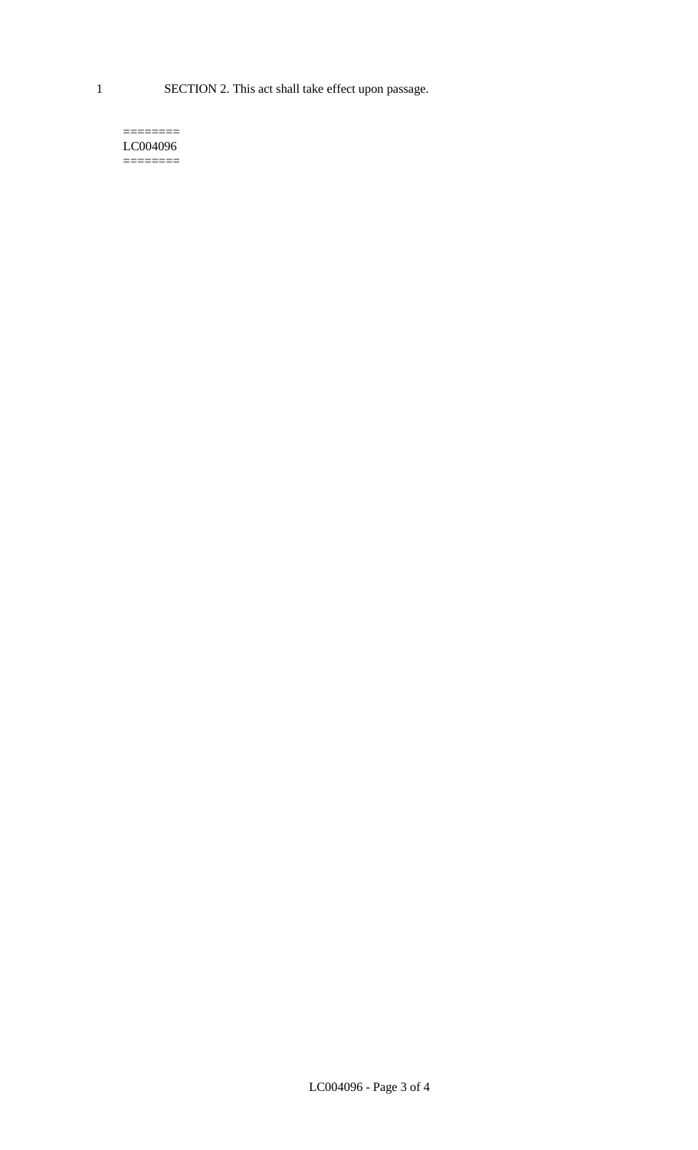1 SECTION 2. This act shall take effect upon passage.

#### $=$ LC004096  $=$